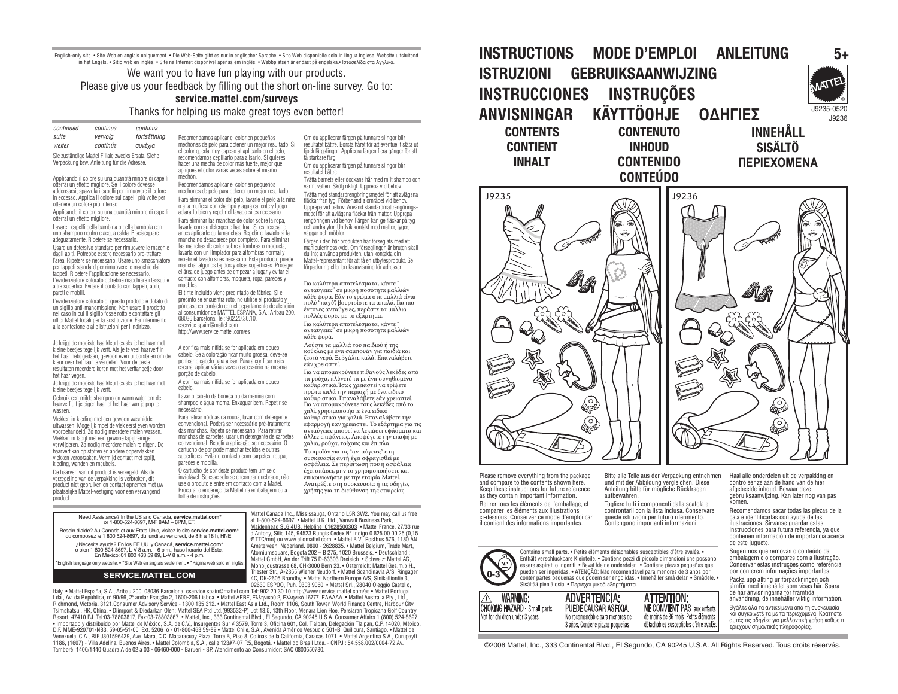English-only site. • Site Web en anglais uniquement. • Die Web-Seite gibt es nur in englischer Sprache. • Sito Web disponibile solo in lingua inglese. Website uitsluitend in het Fngels. • Sitio web en inglés. • Site na Internet disponível apenas em inglês. • Webbplatsen är endast på engelska • Ιστοσελίδα στα Αννλικά

We want you to have fun playing with our products. Please give us your feedback by filling out the short on-line survey. Go to:

#### service.mattel.com/survevs

Thanks for helping us make great toys even better!

continued continua continua suite vervolo fortsättning weiter continúa συνέχια Sie zuständige Mattel Filiale zwecks Ersatz, Siehe

Verpackung bzw. Anleitung für die Adresse.

Applicando il colore su una quantità minore di capelli otterrai un effetto migliore. Se il colore dovesse addensarsi, spazzola i capelli per rimuovere il colore in eccesso. Applica il colore sui capelli più volte per ottenere un colore niù intenso

Applicando il colore su una quantità minore di capelli otterrai un effetto migliore.

Lavare i capelli della bambina o della bambola con uno shampoo neutro e acqua calda. Risciacquare adequatamente. Ripetere se necessario.

Usare un detersivo standard per rimuovere le macchie danli abiti. Potrebbe essere necessario pre-trattare l'area. Ripetere se necessario. Usare uno smacchiatore ner tanneti standard ner rimunyere le macchie dai tanneti. Rinetere l'annlicazione se necessario. L'evidenziatore colorato potrebbe macchiare i tessuti e altre superfici. Evitare il contatto con tappeti, abiti. pareti e mobili.

L'evidenziatore colorato di questo prodotto è dotato di un sigillo anti-manomissione. Non usare il prodotto nel caso in cui il sigillo fosse rotto e contattare gli uffici Mattel locali per la sostituzione. Far riferimento alla confezione o alle istruzioni per l'indirizzo

Je krijgt de mooiste haarkleurties als je het haar met kleine beeties tegelijk verft. Als ie te veel haarverf in het haar hebt gedaan, gewoon even uitborstelen om de kleur over het haar te verdelen. Voor de beste resultaten meerdere keren met het verftangetie door het haar vegen.

Je krijgt de mooiste haarkleurties als ie het haar met kleine beetjes tegelijk verft.

Gebruik een milde shampoo en warm water om de haarverf uit je eigen haar of het haar van je pop te wassen

Vlekken in kleding met een gewoon wasmiddel uitwassen. Mogelijk moet de vlek eerst even worden voorbehandeld. Zo nodig meerdere malen wassen. Vlekken in tapijt met een gewone tapijtreiniger verwijderen. Zo nodig meerdere malen reinigen. De haarverf kan op stoffen en andere oppervlakken vlekken veroorzaken. Vermiid contact met taniit. kleding, wanden en meubels.

De haarverf van dit product is verzeneld. Als de verzegeling van de verpakking is verbroken, dit product niet gebruiken en contact opnemen met uw plaatselijke Mattel-vestiging voor een vervangend product

"English language only website. • "Site Web en anglais seulement. • "Página web solo en inglés"

**SERVICE.MATTEL.COM** 

Recomendamos aplicar el color en pequeños mechones de pelo para obtener un mejor resultado. Si el color queda muy espeso al aplicarlo en el pelo. recomendamos cepillarlo para alisarlo. Si quieres hacer una mecha de color más fuerte, mejor que apliques el color varias veces sobre el mismo

mechón Recomendamos aplicar el color en pequeños mechones de pelo para obtener un mejor resultado. Para eliminar el color del pelo, lavarle el pelo a la niña o a la muñeca con champú y agua caliente y luego aclararlo bien y repetir el lavado si es necesario. Para eliminar las manchas de color sobre la rona lavarla con su detergente habitual. Si es necesario antes aplicarle quitamanchas. Repetir el lavado si la mancha no desaparece por completo. Para eliminar las manchas de color sobre alfombras o monueta layarla con un limpiador para alfombras normal y repetir el lavado sí es necesario. Este producto puede manchar algunos tejidos y otras superficies. Proteger el área de juego antes de empezar a jugar y evitar el contacto con alfombras, mogueta, rona, paredes y muebles.

El tinte incluido viene precintado de fábrica. Si el precipto se encuentra roto, no utilice el producto y póngase en contacto con el departamento de atención al consumidor de MATTEL ESPAÑA. S.A.: Aribau 200. 08036 Barcelona, Tel: 902.20.30.10. cservice.spain@mattel.com. http://www.service.mattel.com/es

A cor fica mais nítida se for anlicada em nouco cabelo. Se a coloração ficar muito grossa, deve-se nentear o cabelo para alisar. Para a cor ficar mais escura, aplicar várias vezes o acessório na mesma porção de cabelo.

A cor fica mais nítida se for aplicada em pouco cabelo.

Lavar o cabelo da boneca ou da menina com shampoo e água morna. Enxaguar bem. Repetir se

Para retirar nódoas da roupa, lavar com detergente<br>convencional. Poderá ser necessário pré-tratamento das manchas. Repetir se necessário. Para retirar manchas de carpetes, usar um detergente de carpetes convencional. Repetir a aplicação se necessário. O cartucho de cor node manchar tecidos e outras superfícies. Evitar o contacto com carnetes, rouna. paredes e mobília

O cartucho de cor deste produto tem um selo inviolável. Se esse selo se encontrar quebrado, pão use o produto e entre em contacto com a Mattel. curar o endereco da Mattel na embalagem ou a folha de instruções

Om du applicerar färgen på tunnare slingor blir resultatet bättre. Borsta håret för att eventuellt släta ut tiock färgslingor. Applicera färgen flera gånger för att få starkare färg.

Om du applicerar färgen på tunnare slingor blir resultatet hättre

Tvätta barnets eller dockans hår med milt shampo och varmt vatten. Skölj rikligt. Upprepa vid behov.

Tvätta med standardrengöringsmedel för att avlägsna fläckar från tyg. Förbehandla området vid behov Upprepa vid behov. Använd standardmattrengöringsmedel för att avlänsna fläckar från mattor. Unnrena rengöringen vid behov. Färgen kan ge fläckar på tvg och andra ytor. Undvik kontakt med mattor, tyger, väggar och möbler

Färnen i den här produkten har försenlats med ett manipuleringsskydd. Om förseglingen är bruten skall du inte använda produkten, utan kontakta din Mattel-representant för att få en utbytesprodukt. Se förpackning eller bruksanvisning för adresser.

Για καλύτερα αποτελέσματα, κάντε " ανταύγειες" σε μικρή ποσότητα μαλλιών κάθε φορά. Εάν το χρώμα στα μαλλιά είναι πολύ "παχύ", βουρτσίστε τα απαλά. Για πιο έντονες ανταύγειες, περάστε τα μαλλιά πολλές φορές με το εξάρτημα.

Για καλύτερα αποτελέσματα, κάντε ανταύγειες" σε μικρή ποσότητα μαλλιών κάθε φορά.

Λούστε τα μαλλιά του παιδιού ή της κούκλας με ένα σαμπουάν για παιδιά και ζεστό νερό. Ξεβγάλτε καλά. Επαναλάβετε εάν χρειαστεί.

Για να απομακρύνετε πιθανούς λεκέδες από τα ρούχα, πλύνετέ τα με ένα συνηθισμένο καθαριστικό. Ίσως χρειαστεί να τρίψετε πρώτα καλά την περιοχή με ένα ειδικό<br>καθαριστικό. Επαναλάβετε εάν γρειαστεί. Για να απομακρύνετε τους λεκέδες από το χαλί, χρησιμοποιήστε ένα ειδικό καθαριστικό για χαλιά. Επαναλάβετε την<br>εφαρμογή εάν χρειαστεί. Το εξάρτημα για τις ανταύγειες μπορεί να λεκιάσει υφάσματα και άλλες επιφάνειες. Αποφύγετε την επαφή με χαλιά, ρούχα, τοίχους και έπιπλι

 $\overline{a}$  προϊόν για τις "ανταύνειες" στη συσκευασία αυτή έχει σφραγισθεί με ασφάλεια. Σε περίπτωση που η ασφάλεια έχει σπάσει, μην το χρησιμοποιήσετε και επικοινωνήστε με την εταιρία Mattel. Ανατοέξτε στη συσκευασία ή τις οδηγίες χρήσης για τη διεύθυνση της εταιρείας.

Mattel Canada Inc., Mississauga, Ontario L5R 3W2, You may call us free Need Accidence? In the LIS and Canada convice mattel com at 1-800-524-8697. • Mattel U.K. Ltd., Vanwall Business Park, or 1-800-524-8697, M-F 8AM - 6PM, ET Maidenhead SL6 4UB. Helpline 01628500303 · Mattel France, 27/33 rue Besoin d'aide? Au Canada et aux États-Unis, visitez le site service mattel com\* d'Antony, Silic 145, 94523 Rungis Cedex N° Indigo 0 825 00 00 25 (0,15 ou composez le 1 800 524-8697, du lundi au vendredi, de 8 h à 18 h, H € TTC/mn) ou www.allomattel.com. • Mattel B.V. Postbus 576, 1180 AN .<br>Necesita ayuda? En los EE.UU. y Canadá, service.mattel.com\* Amstelveen, Nederland. 0800 - 2628835. • Mattel Belgium, Trade Mart, 6 hours and volume 12 hours ELION 18 a.m. - 6 p.m., huso horario del Este.<br>En México: 01 800 463 59 89. L-V 8 a.m. - 4 p.m.

Atomiumsquare, Bogota 202 – B 275, 1020 Brussels. • Deutschland : Mattel GmbH. An der Trift 75 D-63303 Dreieich. • Schweiz: Mattel AG Monbijoustrasse 68 CH-3000 Bern 23 . Österreich: Mattel Ges m. b. H. Triester Str., A-2355 Wiener Neudorf. • Mattel Scandinavia A/S. Ringage 4C, DK-2605 Brøndby. • Mattel Northern Europe A/S, Sinikalliontie 3 02630 ESPOO, Puh. 0303 9060. . Mattel Srl., 28040 Oleggio Castello

Italy. . Mattel España, S.A., Aribau 200. 08036 Barcelona. cservice.spain@mattel.com Tel: 902.20.30.10.http://www.service.mattel.com/es . Mattel Portugal Lda., Av. da República, nº 90/96, 2º andar Fraccão 2, 1600-206 Lisboa . Mattel AEBE, Ελληνικού 2, Ελληνικό 16777, ΕΛΛΑΔΑ. . Mattel Australia Ptv., Ltd. Richmond, Victoria, 3121 Consumer Advisory Service - 1300 135 312 . Mattel Fast Asia Ltd., Room 1106, South Tower, World Finance Centre, Harbour City Tsimshatsui, HK, China. • Diimport & Diedarkan Oleh: Mattel SEA Ptd Ltd.(993532-P) Lot 13.5, 13th Floor, Menara Lien Hoe, Persiaran Tropicana Golf Country Resort, 47410 PJ. Tel:03-78803817, Fax:03-78803867. . Mattel, Inc., 333 Continental Blvd., El Segundo, CA 90245 U.S.A. Consumer Affairs 1 (800) 524-8697 . Importado y distribuido por Mattel de México, S.A. de C.V., Insurgentes Sur # 3579, Torre 3, Oficina 601, Col. Tialpan, Delegación Tialpan, C.P. 14020, México, S.A. de C.V., Insurgentes Sur # 3579, Torre 3, Oficina 601, Venezuela, C.A., RIF J301596439, Ave. Mara, C.C. Macaracuay Plaza, Torre B, Piso 8, Colinas de la California, Caracas 1071. • Mattel Argentina S.A., Curupayti 1186, (1607) - Villa Adelina, Buenos Aires. • Mattel Colombia, S.A., calle 123#7-07 P.5, Bogotá. • Mattel do Brasil Ltda. - CNPJ : 54.558.002/0004-72 Av. Tamboré, 1400/1440 Quadra A de 02 a 03 - 06460-000 - Barueri - SP, Atendimento ao Consumidor: SAC 0800550780,

#### **INSTRUCTIONS MODE D'EMPLOI ANLEITUNG** ISTRUZIONI GEBRUIKSAANWIJZING INSTRUCCIONES INSTRUÇÕES KÄYTTÖOHJE ANVISNINGAR ΟΔΗΓΙΕΣ **CONTENTS CONTENUTO** INNFHÅLL **SISÄLTÖ CONTIENT INHOUD INHALT CONTENIDO** *<u>ΠΕΡΙΕΧΟΜΕΝΑ</u>*

**CONTEÚDO** 

J9236





Please remove everything from the package and compare to the contents shown here. Keen these instructions for future reference as they contain important information

comparer les éléments aux illustrations ci-dessous. Conserver ce mode d'emploi car il contient des informations importantes.

Bitte alle Teile aus der Verpackung entnehmen und mit der Abbildung vergleichen. Diese Anleitung bitte für mögliche Rückfragen aufhewahren

Togliere tutti i componenti dalla scatola e confrontarli con la lista inclusa. Conservare queste istruzioni per futuro riferimento. Contengono importanti informazioni.

Contains small parts. • Petits éléments détachables susceptibles d'être avalés. • Enthält verschluckbare Kleinteile. • Contiene pezzi di piccole dimensioni che possono essere aspirati o ingeriti. • Bevat kleine onderdelen. • Contiene piezas pequeñas que<br>pueden ser ingeridas. • ATENCÃO: Não recomendável para menores de 3 anos por conter partes pequenas que podem ser engolidas. • Innehåller små delar. • Smådele. Sisältää pieniä osia. • Περιέχει μικρά εξαρτήματα.







détachables susceptibles d'être avalés.



Packa upp allting ur förpackningen och<br>jämför med innehållet som visas här. Spara de här anvisningarna för framtida av nafningarna för frammade information

Haal alle onderdelen uit de verpakking en

gebruiksaanwiizing. Kan later nog van pas

Recomendamos sacar todas las piezas de la

ilustraciones. Sírvanse guardar estas<br>instrucciones para futura referencia, va que

contienen información de importancia acerca

controleer ze aan de hand van de hier

caja e identificarlas con ayuda de las

afgeheelde inhoud. Bewaar deze

Βγάλτε όλα τα αντικείμενα από τη συσκευασία και συγκρίνετέ τα με τα περιεχόμενα. Κρατήστε αυτές τις οδηγίες για μελλοντική χρήση καθώς π<br>εριέχουν σημαντικές πληροφορίες.

©2006 Mattel, Inc., 333 Continental Blvd., El Segundo, CA 90245 U.S.A. All Rights Reserved. Tous droits réservés.



Retirer tous les éléments de l'emballage, et